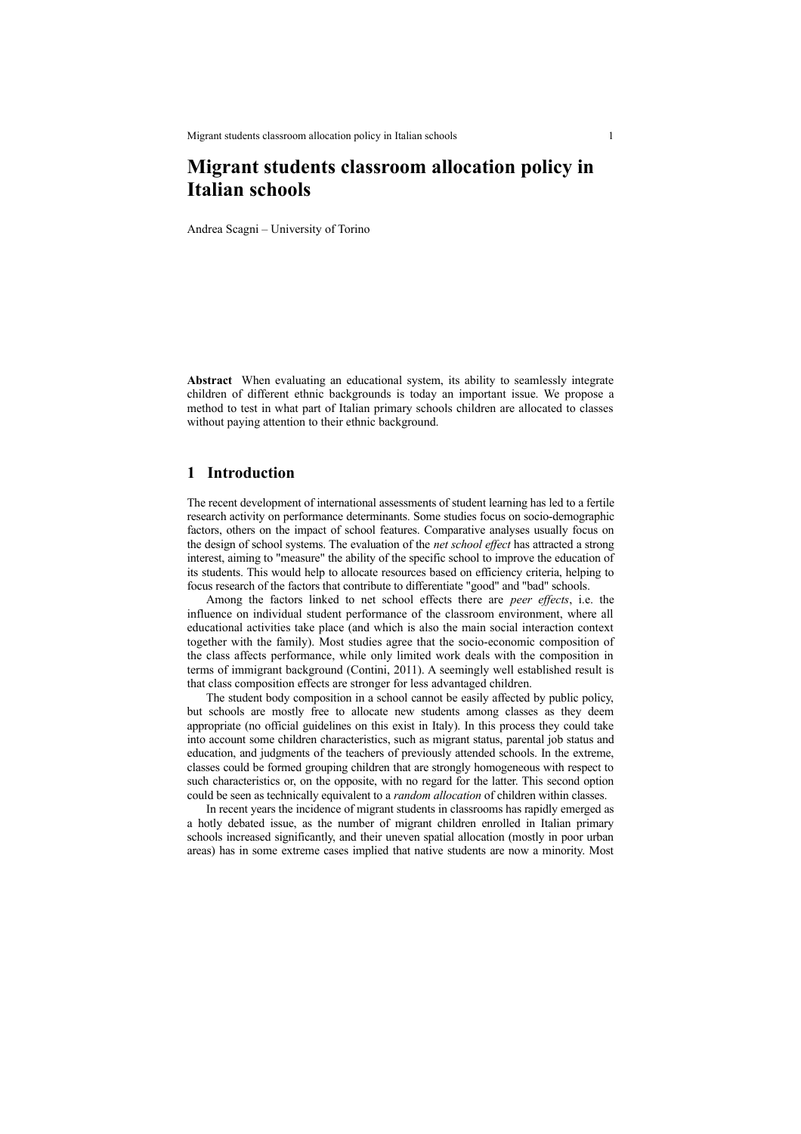# **Migrant students classroom allocation policy in Italian schools**

Andrea Scagni – University of Torino

**Abstract** When evaluating an educational system, its ability to seamlessly integrate children of different ethnic backgrounds is today an important issue. We propose a method to test in what part of Italian primary schools children are allocated to classes without paying attention to their ethnic background.

#### **1 Introduction**

The recent development of international assessments of student learning has led to a fertile research activity on performance determinants. Some studies focus on socio-demographic factors, others on the impact of school features. Comparative analyses usually focus on the design of school systems. The evaluation of the *net school effect* has attracted a strong interest, aiming to "measure" the ability of the specific school to improve the education of its students. This would help to allocate resources based on efficiency criteria, helping to focus research of the factors that contribute to differentiate "good" and "bad" schools.

Among the factors linked to net school effects there are *peer effects*, i.e. the influence on individual student performance of the classroom environment, where all educational activities take place (and which is also the main social interaction context together with the family). Most studies agree that the socio-economic composition of the class affects performance, while only limited work deals with the composition in terms of immigrant background (Contini, 2011). A seemingly well established result is that class composition effects are stronger for less advantaged children.

The student body composition in a school cannot be easily affected by public policy, but schools are mostly free to allocate new students among classes as they deem appropriate (no official guidelines on this exist in Italy). In this process they could take into account some children characteristics, such as migrant status, parental job status and education, and judgments of the teachers of previously attended schools. In the extreme, classes could be formed grouping children that are strongly homogeneous with respect to such characteristics or, on the opposite, with no regard for the latter. This second option could be seen as technically equivalent to a *random allocation* of children within classes.

In recent years the incidence of migrant students in classrooms has rapidly emerged as a hotly debated issue, as the number of migrant children enrolled in Italian primary schools increased significantly, and their uneven spatial allocation (mostly in poor urban areas) has in some extreme cases implied that native students are now a minority. Most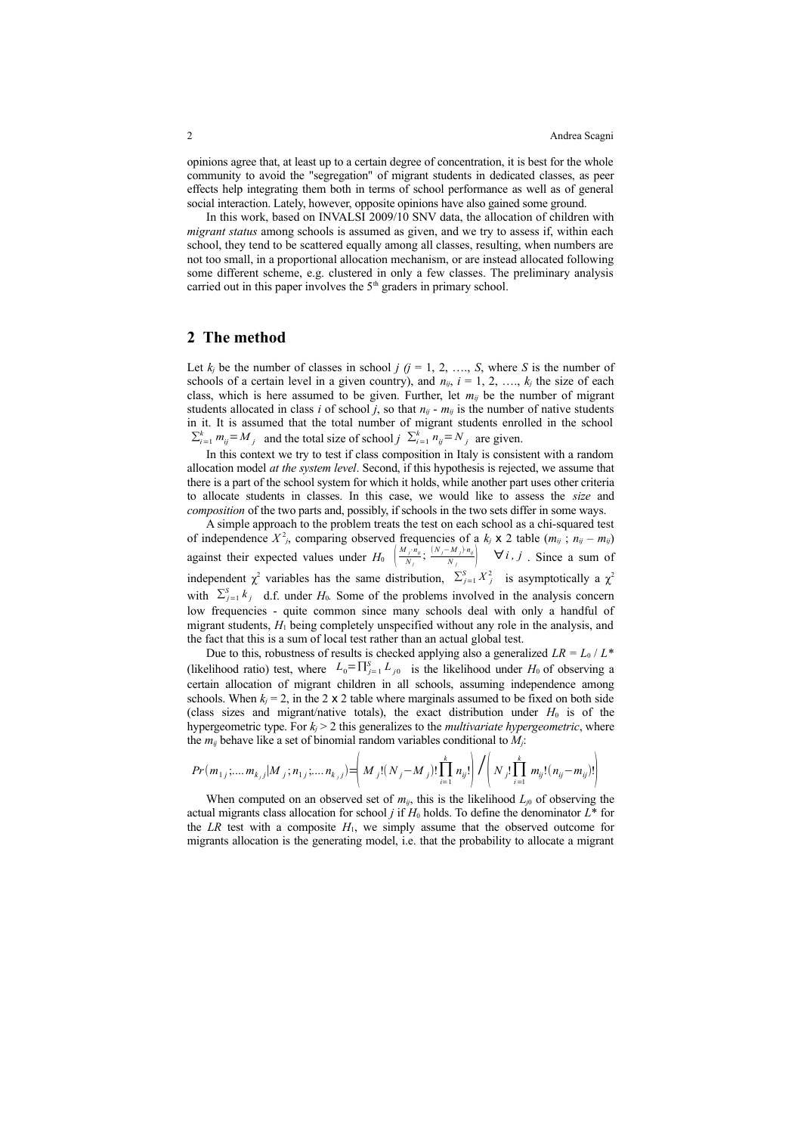opinions agree that, at least up to a certain degree of concentration, it is best for the whole community to avoid the "segregation" of migrant students in dedicated classes, as peer effects help integrating them both in terms of school performance as well as of general social interaction. Lately, however, opposite opinions have also gained some ground.

In this work, based on INVALSI 2009/10 SNV data, the allocation of children with *migrant status* among schools is assumed as given, and we try to assess if, within each school, they tend to be scattered equally among all classes, resulting, when numbers are not too small, in a proportional allocation mechanism, or are instead allocated following some different scheme, e.g. clustered in only a few classes. The preliminary analysis carried out in this paper involves the  $5<sup>th</sup>$  graders in primary school.

#### **2 The method**

Let  $k_j$  be the number of classes in school  $j$  ( $j = 1, 2, ..., S$ , where *S* is the number of schools of a certain level in a given country), and  $n_{ij}$ ,  $i = 1, 2, ..., k_i$  the size of each class, which is here assumed to be given. Further, let  $m_{ij}$  be the number of migrant students allocated in class *i* of school *j*, so that  $n_{ij}$  -  $m_{ij}$  is the number of native students in it. It is assumed that the total number of migrant students enrolled in the school  $\sum_{i=1}^{k} m_{ij} = M_j$  and the total size of school *j*  $\sum_{i=1}^{k} n_{ij} = N_j$  are given.

In this context we try to test if class composition in Italy is consistent with a random allocation model *at the system level*. Second, if this hypothesis is rejected, we assume that there is a part of the school system for which it holds, while another part uses other criteria to allocate students in classes. In this case, we would like to assess the *size* and *composition* of the two parts and, possibly, if schools in the two sets differ in some ways.

A simple approach to the problem treats the test on each school as a chi-squared test of independence  $X^2$ , comparing observed frequencies of a  $k_j \times 2$  table  $(m_{ij}; n_{ij} - m_{ij})$ against their expected values under  $H_0$   $\left(\frac{M_j \cdot n_{ij}}{N_j}\right)$  $\frac{N_j \cdot n_{ij}}{N_j}$ ;  $\frac{(N_j - M_j) \cdot n_{ij}}{N_j}$   $\forall i, j$  . Since a sum of independent  $\chi^2$  variables has the same distribution,  $\sum_{j=1}^{S} X_j^2$  is asymptotically a  $\chi^2$ with  $\sum_{j=1}^{S} k_j$  d.f. under *H*<sub>0</sub>. Some of the problems involved in the analysis concern low frequencies - quite common since many schools deal with only a handful of migrant students, *H*1 being completely unspecified without any role in the analysis, and the fact that this is a sum of local test rather than an actual global test.

Due to this, robustness of results is checked applying also a generalized  $LR = L_0 / L^*$ (likelihood ratio) test, where  $L_0 = \prod_{j=1}^{S} L_{j0}$  is the likelihood under  $H_0$  of observing a certain allocation of migrant children in all schools, assuming independence among schools. When  $k_j = 2$ , in the 2 x 2 table where marginals assumed to be fixed on both side (class sizes and migrant/native totals), the exact distribution under  $H_0$  is of the hypergeometric type. For  $k_i > 2$  this generalizes to the *multivariate hypergeometric*, where the  $m_{ij}$  behave like a set of binomial random variables conditional to  $M_i$ .

$$
Pr(m_{1j};...m_{k_{j}j}|M_{j};n_{1j};...n_{k_{j}j}) = \left(M_{j}!(N_{j}-M_{j})!\prod_{i=1}^{k}n_{ij}!\right)/\left(N_{j}!\prod_{i=1}^{k}m_{ij}!(n_{ij}-m_{ij})!\right)
$$

When computed on an observed set of  $m_{ij}$ , this is the likelihood  $L_{j0}$  of observing the actual migrants class allocation for school *j* if  $H_0$  holds. To define the denominator  $L^*$  for the *LR* test with a composite  $H_1$ , we simply assume that the observed outcome for migrants allocation is the generating model, i.e. that the probability to allocate a migrant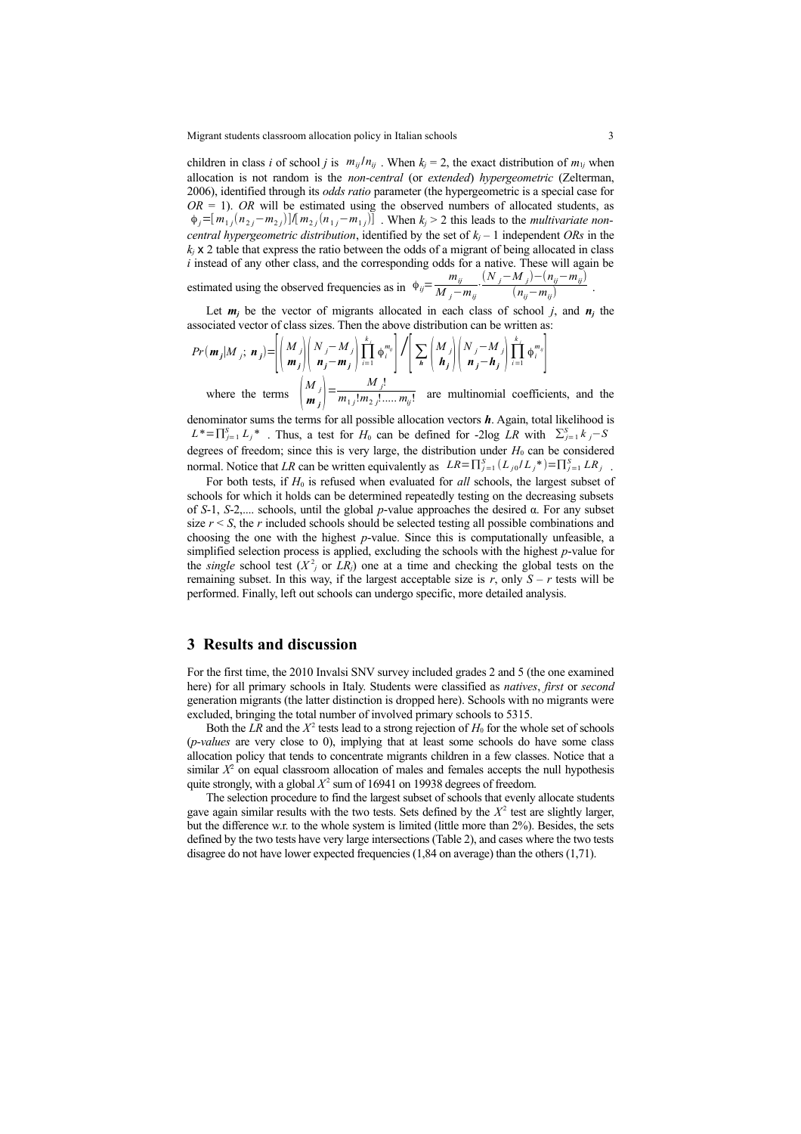Migrant students classroom allocation policy in Italian schools 3

children in class *i* of school *j* is  $m_{ij}/n_{ij}$ . When  $k_j = 2$ , the exact distribution of  $m_{1j}$  when allocation is not random is the *non-central* (or *extended*) *hypergeometric* (Zelterman, 2006), identified through its *odds ratio* parameter (the hypergeometric is a special case for  $OR = 1$ ). *OR* will be estimated using the observed numbers of allocated students, as  $\phi_j = [m_{1j}(n_{2j} - m_{2j})]$   $\{m_{2j}(n_{1j} - m_{1j})\}$ . When  $k_j > 2$  this leads to the *multivariate noncentral hypergeometric distribution*, identified by the set of  $k_i - 1$  independent ORs in the  $k_i$  x 2 table that express the ratio between the odds of a migrant of being allocated in class *i* instead of any other class, and the corresponding odds for a native. These will again be estimated using the observed frequencies as in  $\phi_{ij} = \frac{m_{ij}}{M}$  $\frac{m_{ij}}{M_j - m_{ij}} \cdot \frac{(N_j - M_j) - (n_{ij} - m_{ij})}{(n_{ij} - m_{ij})}$ (*nij*−*mij*) .

Let  $m_j$  be the vector of migrants allocated in each class of school *j*, and  $n_j$  the associated vector of class sizes. Then the above distribution can be written as:

$$
Pr(\mathbf{m}_j | M_j; \mathbf{n}_j) = \left| \left( \begin{array}{c} M_j \\ \mathbf{m}_j \end{array} \right| \left( \begin{array}{c} N_j - M_j \\ \mathbf{n}_j - \mathbf{m}_j \end{array} \right) \prod_{i=1}^{k_j} \phi_i^{m_i} \right| / \left[ \sum_{\mathbf{h}} \left( \begin{array}{c} M_j \\ \mathbf{h}_j \end{array} \right| \left( \begin{array}{c} N_j - M_j \\ \mathbf{n}_j - \mathbf{h}_j \end{array} \right) \prod_{i=1}^{k_j} \phi_i^{m_i} \right]
$$
\nwhere the terms  $\binom{M_j}{\mathbf{m}_j} = \frac{M_j!}{m_1! m_2! \dots m_{ij}!}$  are multinomial coefficients, and the

denominator sums the terms for all possible allocation vectors *h*. Again, total likelihood is  $L^* = \prod_{j=1}^S L_j^*$ . Thus, a test for *H*<sub>0</sub> can be defined for -2log *LR* with  $\sum_{j=1}^S k_j - S$ degrees of freedom; since this is very large, the distribution under  $H_0$  can be considered normal. Notice that *LR* can be written equivalently as  $LR = \prod_{j=1}^{S} (L_{j0}/L_j^*) = \prod_{j=1}^{S} LR_j$ .

For both tests, if  $H_0$  is refused when evaluated for *all* schools, the largest subset of schools for which it holds can be determined repeatedly testing on the decreasing subsets of *S*-1, *S*-2,.... schools, until the global *p*-value approaches the desired α. For any subset size  $r < S$ , the *r* included schools should be selected testing all possible combinations and choosing the one with the highest *p*-value. Since this is computationally unfeasible, a simplified selection process is applied, excluding the schools with the highest *p*-value for the *single* school test  $(X^2)$  or  $LR$ <sup>*j*</sup>) one at a time and checking the global tests on the remaining subset. In this way, if the largest acceptable size is  $r$ , only  $S - r$  tests will be performed. Finally, left out schools can undergo specific, more detailed analysis.

## **3 Results and discussion**

For the first time, the 2010 Invalsi SNV survey included grades 2 and 5 (the one examined here) for all primary schools in Italy. Students were classified as *natives*, *first* or *second* generation migrants (the latter distinction is dropped here). Schools with no migrants were excluded, bringing the total number of involved primary schools to 5315.

Both the  $LR$  and the  $X^2$  tests lead to a strong rejection of  $H_0$  for the whole set of schools (*p-values* are very close to 0), implying that at least some schools do have some class allocation policy that tends to concentrate migrants children in a few classes. Notice that a similar  $X^2$  on equal classroom allocation of males and females accepts the null hypothesis quite strongly, with a global  $X^2$  sum of 16941 on 19938 degrees of freedom.

The selection procedure to find the largest subset of schools that evenly allocate students gave again similar results with the two tests. Sets defined by the  $X<sup>2</sup>$  test are slightly larger, but the difference w.r. to the whole system is limited (little more than 2%). Besides, the sets defined by the two tests have very large intersections (Table 2), and cases where the two tests disagree do not have lower expected frequencies (1,84 on average) than the others (1,71).